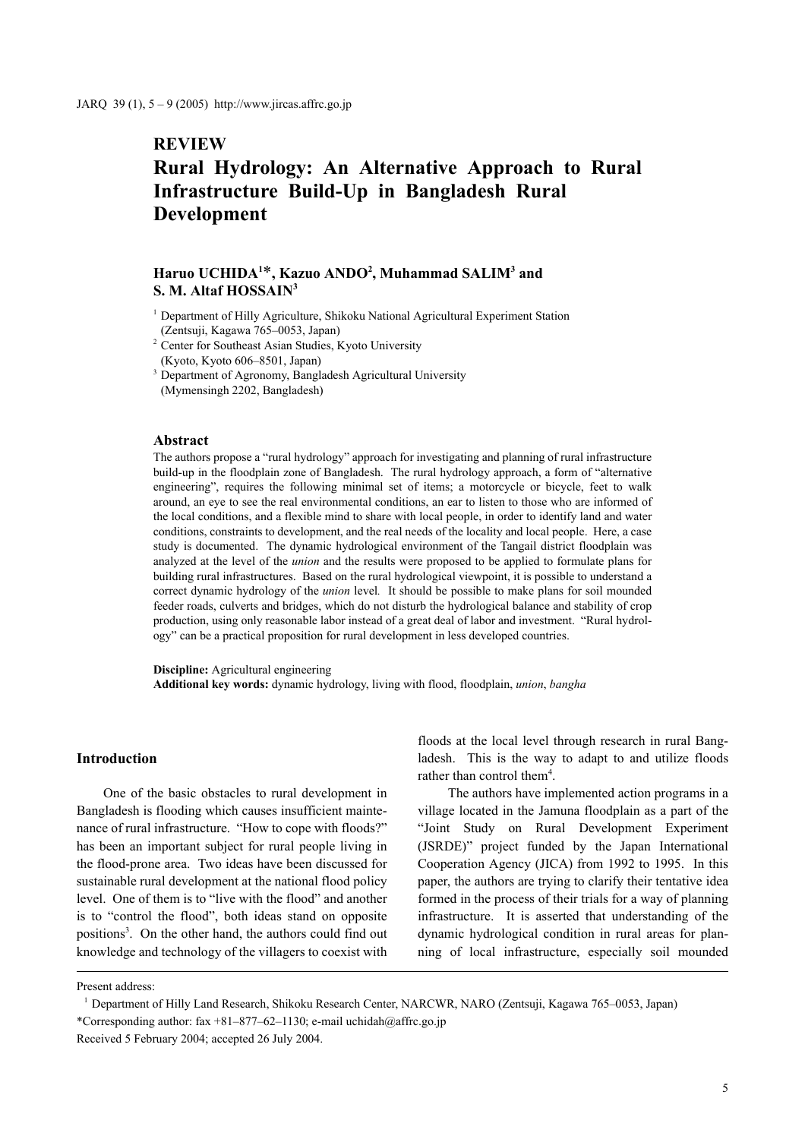# **REVIEW**

# **Rural Hydrology: An Alternative Approach to Rural Infrastructure Build-Up in Bangladesh Rural Development**

# $\text{Haruo UCHIDA}^{1*}, \text{Kazuo ANDO}^2, \text{Muhammad SALIM}^3$  and **S. M. Altaf HOSSAIN3**

- <sup>1</sup> Department of Hilly Agriculture, Shikoku National Agricultural Experiment Station (Zentsuji, Kagawa 765–0053, Japan)
- <sup>2</sup> Center for Southeast Asian Studies, Kyoto University
- (Kyoto, Kyoto 606–8501, Japan)
- <sup>3</sup> Department of Agronomy, Bangladesh Agricultural University

(Mymensingh 2202, Bangladesh)

### **Abstract**

The authors propose a "rural hydrology" approach for investigating and planning of rural infrastructure build-up in the floodplain zone of Bangladesh. The rural hydrology approach, a form of "alternative engineering", requires the following minimal set of items; a motorcycle or bicycle, feet to walk around, an eye to see the real environmental conditions, an ear to listen to those who are informed of the local conditions, and a flexible mind to share with local people, in order to identify land and water conditions, constraints to development, and the real needs of the locality and local people. Here, a case study is documented. The dynamic hydrological environment of the Tangail district floodplain was analyzed at the level of the *union* and the results were proposed to be applied to formulate plans for building rural infrastructures. Based on the rural hydrological viewpoint, it is possible to understand a correct dynamic hydrology of the *union* level*.* It should be possible to make plans for soil mounded feeder roads, culverts and bridges, which do not disturb the hydrological balance and stability of crop production, using only reasonable labor instead of a great deal of labor and investment. "Rural hydrology" can be a practical proposition for rural development in less developed countries.

**Discipline:** Agricultural engineering **Additional key words:** dynamic hydrology, living with flood, floodplain, *union*, *bangha*

#### **Introduction**

One of the basic obstacles to rural development in Bangladesh is flooding which causes insufficient maintenance of rural infrastructure. "How to cope with floods?" has been an important subject for rural people living in the flood-prone area. Two ideas have been discussed for sustainable rural development at the national flood policy level. One of them is to "live with the flood" and another is to "control the flood", both ideas stand on opposite positions<sup>3</sup>. On the other hand, the authors could find out knowledge and technology of the villagers to coexist with

floods at the local level through research in rural Bangladesh. This is the way to adapt to and utilize floods rather than control them<sup>4</sup>.

 The authors have implemented action programs in a village located in the Jamuna floodplain as a part of the "Joint Study on Rural Development Experiment (JSRDE)" project funded by the Japan International Cooperation Agency (JICA) from 1992 to 1995. In this paper, the authors are trying to clarify their tentative idea formed in the process of their trials for a way of planning infrastructure. It is asserted that understanding of the dynamic hydrological condition in rural areas for planning of local infrastructure, especially soil mounded

Present address:

<sup>1</sup> Department of Hilly Land Research, Shikoku Research Center, NARCWR, NARO (Zentsuji, Kagawa 765–0053, Japan) \*Corresponding author: fax +81–877–62–1130; e-mail uchidah@affrc.go.jp Received 5 February 2004; accepted 26 July 2004.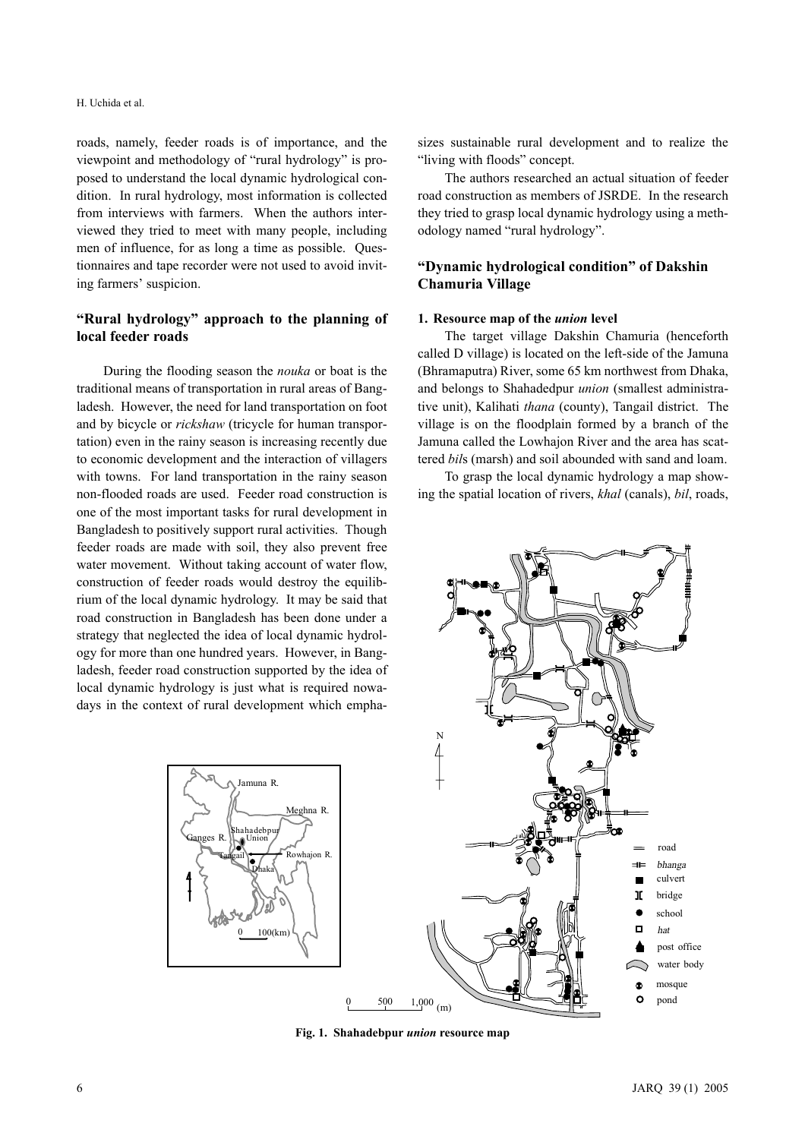#### H. Uchida et al.

roads, namely, feeder roads is of importance, and the viewpoint and methodology of "rural hydrology" is proposed to understand the local dynamic hydrological condition. In rural hydrology, most information is collected from interviews with farmers. When the authors interviewed they tried to meet with many people, including men of influence, for as long a time as possible. Questionnaires and tape recorder were not used to avoid inviting farmers' suspicion.

### **"Rural hydrology" approach to the planning of local feeder roads**

During the flooding season the *nouka* or boat is the traditional means of transportation in rural areas of Bangladesh. However, the need for land transportation on foot and by bicycle or *rickshaw* (tricycle for human transportation) even in the rainy season is increasing recently due to economic development and the interaction of villagers with towns. For land transportation in the rainy season non-flooded roads are used. Feeder road construction is one of the most important tasks for rural development in Bangladesh to positively support rural activities. Though feeder roads are made with soil, they also prevent free water movement. Without taking account of water flow, construction of feeder roads would destroy the equilibrium of the local dynamic hydrology. It may be said that road construction in Bangladesh has been done under a strategy that neglected the idea of local dynamic hydrology for more than one hundred years. However, in Bangladesh, feeder road construction supported by the idea of local dynamic hydrology is just what is required nowadays in the context of rural development which empha-



sizes sustainable rural development and to realize the "living with floods" concept.

The authors researched an actual situation of feeder road construction as members of JSRDE. In the research they tried to grasp local dynamic hydrology using a methodology named "rural hydrology".

# **"Dynamic hydrological condition" of Dakshin Chamuria Village**

#### **1. Resource map of the** *union* **level**

The target village Dakshin Chamuria (henceforth called D village) is located on the left-side of the Jamuna (Bhramaputra) River, some 65 km northwest from Dhaka, and belongs to Shahadedpur *union* (smallest administrative unit), Kalihati *thana* (county), Tangail district. The village is on the floodplain formed by a branch of the Jamuna called the Lowhajon River and the area has scattered *bil*s (marsh) and soil abounded with sand and loam.

To grasp the local dynamic hydrology a map showing the spatial location of rivers, *khal* (canals), *bil*, roads,



**Fig. 1. Shahadebpur** *union* **resource map**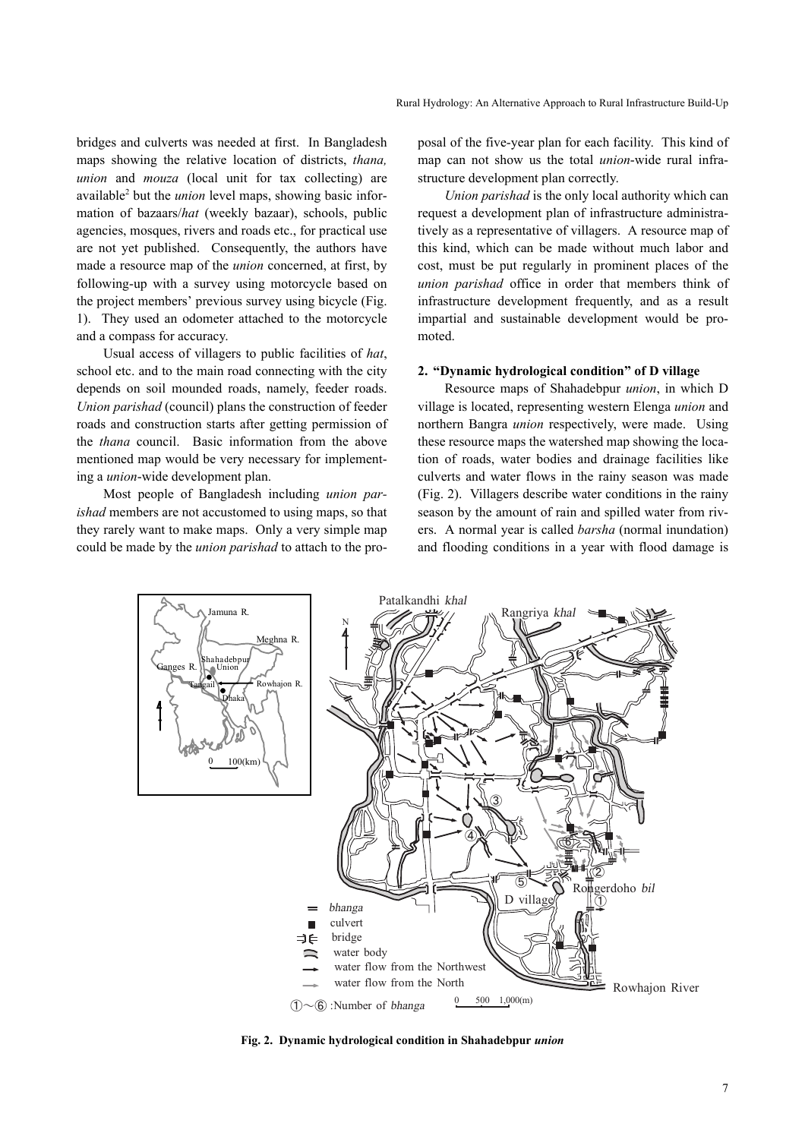bridges and culverts was needed at first. In Bangladesh maps showing the relative location of districts, *thana, union* and *mouza* (local unit for tax collecting) are available<sup>2</sup> but the *union* level maps, showing basic information of bazaars/*hat* (weekly bazaar), schools, public agencies, mosques, rivers and roads etc., for practical use are not yet published. Consequently, the authors have made a resource map of the *union* concerned, at first, by following-up with a survey using motorcycle based on the project members' previous survey using bicycle (Fig. 1). They used an odometer attached to the motorcycle and a compass for accuracy.

Usual access of villagers to public facilities of *hat*, school etc. and to the main road connecting with the city depends on soil mounded roads, namely, feeder roads. *Union parishad* (council) plans the construction of feeder roads and construction starts after getting permission of the *thana* council. Basic information from the above mentioned map would be very necessary for implementing a *union*-wide development plan.

Most people of Bangladesh including *union parishad* members are not accustomed to using maps, so that they rarely want to make maps. Only a very simple map could be made by the *union parishad* to attach to the proposal of the five-year plan for each facility. This kind of map can not show us the total *union*-wide rural infrastructure development plan correctly.

*Union parishad* is the only local authority which can request a development plan of infrastructure administratively as a representative of villagers. A resource map of this kind, which can be made without much labor and cost, must be put regularly in prominent places of the *union parishad* office in order that members think of infrastructure development frequently, and as a result impartial and sustainable development would be promoted.

#### **2. "Dynamic hydrological condition" of D village**

Resource maps of Shahadebpur *union*, in which D village is located, representing western Elenga *union* and northern Bangra *union* respectively, were made. Using these resource maps the watershed map showing the location of roads, water bodies and drainage facilities like culverts and water flows in the rainy season was made (Fig. 2). Villagers describe water conditions in the rainy season by the amount of rain and spilled water from rivers. A normal year is called *barsha* (normal inundation) and flooding conditions in a year with flood damage is



**Fig. 2. Dynamic hydrological condition in Shahadebpur** *union*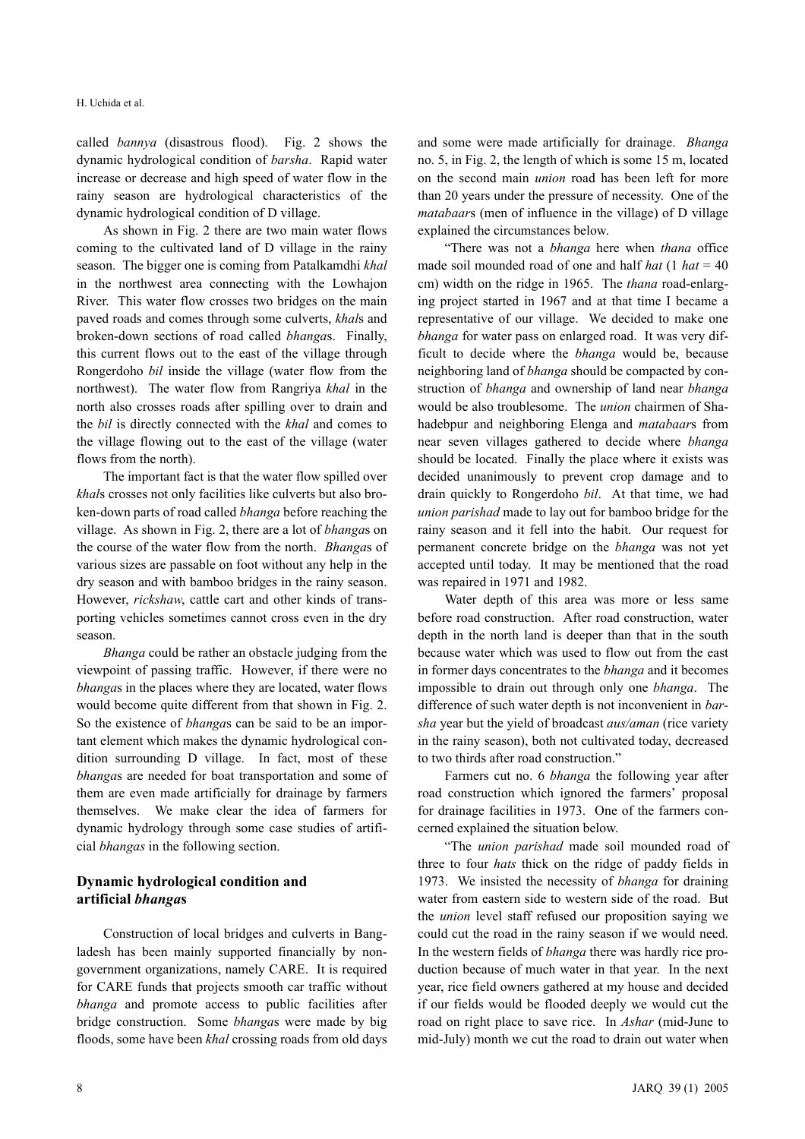called *bannya* (disastrous flood). Fig. 2 shows the dynamic hydrological condition of *barsha*. Rapid water increase or decrease and high speed of water flow in the rainy season are hydrological characteristics of the dynamic hydrological condition of D village.

As shown in Fig. 2 there are two main water flows coming to the cultivated land of D village in the rainy season. The bigger one is coming from Patalkamdhi *khal* in the northwest area connecting with the Lowhajon River. This water flow crosses two bridges on the main paved roads and comes through some culverts, *khal*s and broken-down sections of road called *bhanga*s. Finally, this current flows out to the east of the village through Rongerdoho *bil* inside the village (water flow from the northwest). The water flow from Rangriya *khal* in the north also crosses roads after spilling over to drain and the *bil* is directly connected with the *khal* and comes to the village flowing out to the east of the village (water flows from the north).

The important fact is that the water flow spilled over *khal*s crosses not only facilities like culverts but also broken-down parts of road called *bhanga* before reaching the village. As shown in Fig. 2, there are a lot of *bhanga*s on the course of the water flow from the north. *Bhanga*s of various sizes are passable on foot without any help in the dry season and with bamboo bridges in the rainy season. However, *rickshaw*, cattle cart and other kinds of transporting vehicles sometimes cannot cross even in the dry season.

*Bhanga* could be rather an obstacle judging from the viewpoint of passing traffic. However, if there were no *bhanga*s in the places where they are located, water flows would become quite different from that shown in Fig. 2. So the existence of *bhanga*s can be said to be an important element which makes the dynamic hydrological condition surrounding D village. In fact, most of these *bhanga*s are needed for boat transportation and some of them are even made artificially for drainage by farmers themselves. We make clear the idea of farmers for dynamic hydrology through some case studies of artificial *bhangas* in the following section.

### **Dynamic hydrological condition and artificial** *bhanga***s**

Construction of local bridges and culverts in Bangladesh has been mainly supported financially by nongovernment organizations, namely CARE. It is required for CARE funds that projects smooth car traffic without *bhanga* and promote access to public facilities after bridge construction. Some *bhanga*s were made by big floods, some have been *khal* crossing roads from old days and some were made artificially for drainage. *Bhanga* no. 5, in Fig. 2, the length of which is some 15 m, located on the second main *union* road has been left for more than 20 years under the pressure of necessity. One of the *matabaar*s (men of influence in the village) of D village explained the circumstances below.

"There was not a *bhanga* here when *thana* office made soil mounded road of one and half *hat*  $(1 hat = 40$ cm) width on the ridge in 1965. The *thana* road-enlarging project started in 1967 and at that time I became a representative of our village. We decided to make one *bhanga* for water pass on enlarged road. It was very difficult to decide where the *bhanga* would be, because neighboring land of *bhanga* should be compacted by construction of *bhanga* and ownership of land near *bhanga* would be also troublesome. The *union* chairmen of Shahadebpur and neighboring Elenga and *matabaar*s from near seven villages gathered to decide where *bhanga* should be located. Finally the place where it exists was decided unanimously to prevent crop damage and to drain quickly to Rongerdoho *bil*. At that time, we had *union parishad* made to lay out for bamboo bridge for the rainy season and it fell into the habit. Our request for permanent concrete bridge on the *bhanga* was not yet accepted until today. It may be mentioned that the road was repaired in 1971 and 1982.

Water depth of this area was more or less same before road construction. After road construction, water depth in the north land is deeper than that in the south because water which was used to flow out from the east in former days concentrates to the *bhanga* and it becomes impossible to drain out through only one *bhanga*. The difference of such water depth is not inconvenient in *barsha* year but the yield of broadcast *aus/aman* (rice variety in the rainy season), both not cultivated today, decreased to two thirds after road construction."

Farmers cut no. 6 *bhanga* the following year after road construction which ignored the farmers' proposal for drainage facilities in 1973. One of the farmers concerned explained the situation below.

"The *union parishad* made soil mounded road of three to four *hats* thick on the ridge of paddy fields in 1973. We insisted the necessity of *bhanga* for draining water from eastern side to western side of the road. But the *union* level staff refused our proposition saying we could cut the road in the rainy season if we would need. In the western fields of *bhanga* there was hardly rice production because of much water in that year. In the next year, rice field owners gathered at my house and decided if our fields would be flooded deeply we would cut the road on right place to save rice. In *Ashar* (mid-June to mid-July) month we cut the road to drain out water when